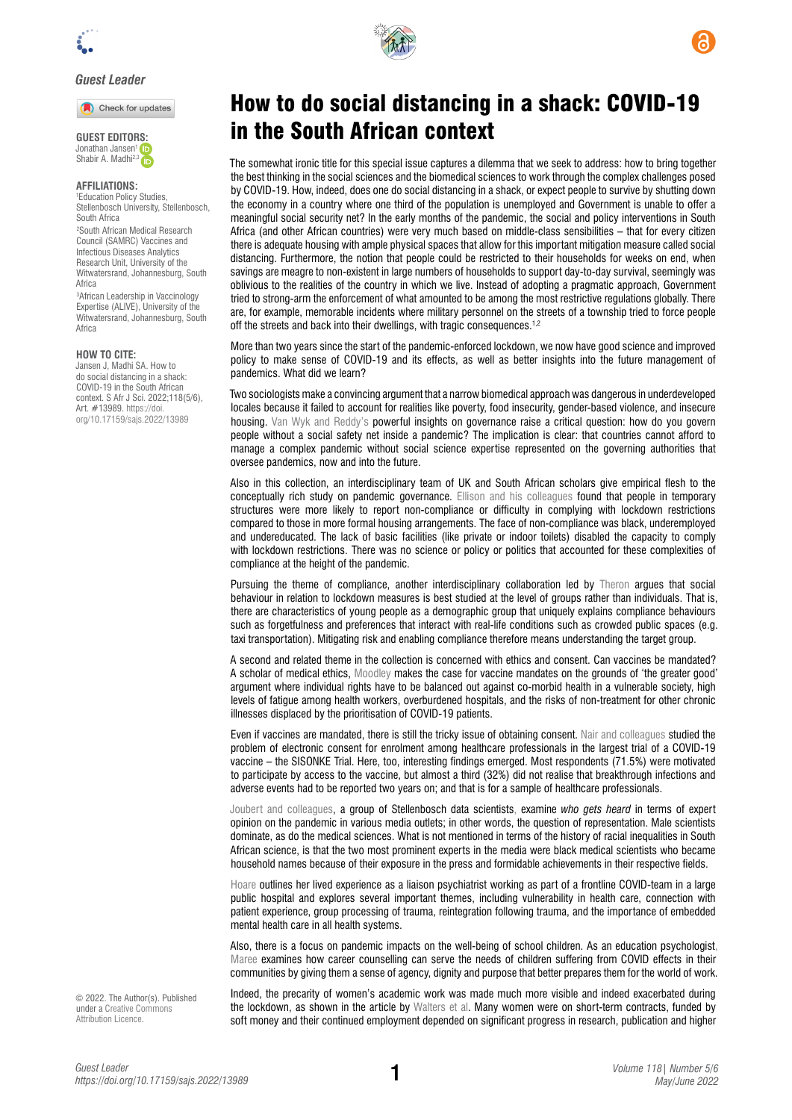

### *Guest Leader*

Check for updates

Jonathan Jansen1 Shabir A. Madhi<sup>2,3</sup>

#### **AFFILIATIONS:**

1 Education Policy Studies, Stellenbosch University, Stellenbosch, South Africa

2 South African Medical Research Council (SAMRC) Vaccines and Infectious Diseases Analytics Research Unit, University of the Witwatersrand, Johannesburg, South Africa

3 African Leadership in Vaccinology Expertise (ALIVE), University of the Witwatersrand, Johannesburg, South Africa

#### **HOW TO CITE:**

Jansen J, Madhi SA. How to do social distancing in a shack: COVID-19 in the South African context. S Afr J Sci. 2022;118(5/6), Art. #13989. [https://doi.](https://doi.org/10.17159/sajs.2022/13989) [org/10.17159/sajs.2022/13989](https://doi.org/10.17159/sajs.2022/13989)



# How to do social distancing in a shack: COVID-19 **GUEST EDITO[RS:](https://orcid.org/0000-0002-8614-5678)** in the South African context

The somewhat ironic title for this special issue captures a dilemma that we seek to address: how to bring together the best thinking in the social sciences and the biomedical sciences to work through the complex challenges posed by COVID-19. How, indeed, does one do social distancing in a shack, or expect people to survive by shutting down the economy in a country where one third of the population is unemployed and Government is unable to offer a meaningful social security net? In the early months of the pandemic, the social and policy interventions in South Africa (and other African countries) were very much based on middle-class sensibilities – that for every citizen there is adequate housing with ample physical spaces that allow for this important mitigation measure called social distancing. Furthermore, the notion that people could be restricted to their households for weeks on end, when savings are meagre to non-existent in large numbers of households to support day-to-day survival, seemingly was oblivious to the realities of the country in which we live. Instead of adopting a pragmatic approach, Government tried to strong-arm the enforcement of what amounted to be among the most restrictive regulations globally. There are, for example, memorable incidents where military personnel on the streets of a township tried to force people off the streets and back into their dwellings, with tragic consequences.<sup>1,2</sup>

More than two years since the start of the pandemic-enforced lockdown, we now have good science and improved policy to make sense of COVID-19 and its effects, as well as better insights into the future management of pandemics. What did we learn?

Two sociologists make a convincing argument that a narrow biomedical approach was dangerous in underdeveloped locales because it failed to account for realities like poverty, food insecurity, gender-based violence, and insecure housing. [Van Wyk and Reddy's](https://doi.org/10.17159/sajs.2022/13163) powerful insights on governance raise a critical question: how do you govern people without a social safety net inside a pandemic? The implication is clear: that countries cannot afford to manage a complex pandemic without social science expertise represented on the governing authorities that oversee pandemics, now and into the future.

Also in this collection, an interdisciplinary team of UK and South African scholars give empirical flesh to the conceptually rich study on pandemic governance. [Ellison and his colleagues](https://doi.org/10.17159/sajs.2022/13301) found that people in temporary structures were more likely to report non-compliance or difficulty in complying with lockdown restrictions compared to those in more formal housing arrangements. The face of non-compliance was black, underemployed and undereducated. The lack of basic facilities (like private or indoor toilets) disabled the capacity to comply with lockdown restrictions. There was no science or policy or politics that accounted for these complexities of compliance at the height of the pandemic.

Pursuing the theme of compliance, another interdisciplinary collaboration led by [Theron](https://doi.org/10.17159/sajs.2022/13173) argues that social behaviour in relation to lockdown measures is best studied at the level of groups rather than individuals. That is, there are characteristics of young people as a demographic group that uniquely explains compliance behaviours such as forgetfulness and preferences that interact with real-life conditions such as crowded public spaces (e.g. taxi transportation). Mitigating risk and enabling compliance therefore means understanding the target group.

A second and related theme in the collection is concerned with ethics and consent. Can vaccines be mandated? A scholar of medical ethics, [Moodley](https://doi.org/10.17159/sajs.2022/13239) makes the case for vaccine mandates on the grounds of 'the greater good' argument where individual rights have to be balanced out against co-morbid health in a vulnerable society, high levels of fatigue among health workers, overburdened hospitals, and the risks of non-treatment for other chronic illnesses displaced by the prioritisation of COVID-19 patients.

Even if vaccines are mandated, there is still the tricky issue of obtaining consent. [Nair and colleagues](https://doi.org/10.17159/sajs.2022/13048) studied the problem of electronic consent for enrolment among healthcare professionals in the largest trial of a COVID-19 vaccine – the SISONKE Trial. Here, too, interesting findings emerged. Most respondents (71.5%) were motivated to participate by access to the vaccine, but almost a third (32%) did not realise that breakthrough infections and adverse events had to be reported two years on; and that is for a sample of healthcare professionals.

[Joubert and colleagues](https://doi.org/10.17159/sajs.2022/12480), a group of Stellenbosch data scientists, examine *who gets heard* in terms of expert opinion on the pandemic in various media outlets; in other words, the question of representation. Male scientists dominate, as do the medical sciences. What is not mentioned in terms of the history of racial inequalities in South African science, is that the two most prominent experts in the media were black medical scientists who became household names because of their exposure in the press and formidable achievements in their respective fields.

[Hoare](https://doi.org/10.17159/sajs.2022/13904) outlines her lived experience as a liaison psychiatrist working as part of a frontline COVID-team in a large public hospital and explores several important themes, including vulnerability in health care, connection with patient experience, group processing of trauma, reintegration following trauma, and the importance of embedded mental health care in all health systems.

Also, there is a focus on pandemic impacts on the well-being of school children. As an education psychologist, [Maree](https://doi.org/10.17159/sajs.2022/13091) examines how career counselling can serve the needs of children suffering from COVID effects in their communities by giving them a sense of agency, dignity and purpose that better prepares them for the world of work.

Indeed, the precarity of women's academic work was made much more visible and indeed exacerbated during the lockdown, as shown in the article by [Walters et al.](https://doi.org/10.17159/sajs.2022/13176) Many women were on short-term contracts, funded by soft money and their continued employment depended on significant progress in research, publication and higher

© 2022. The Author(s). Published under a Creative Commons Attribution Licence.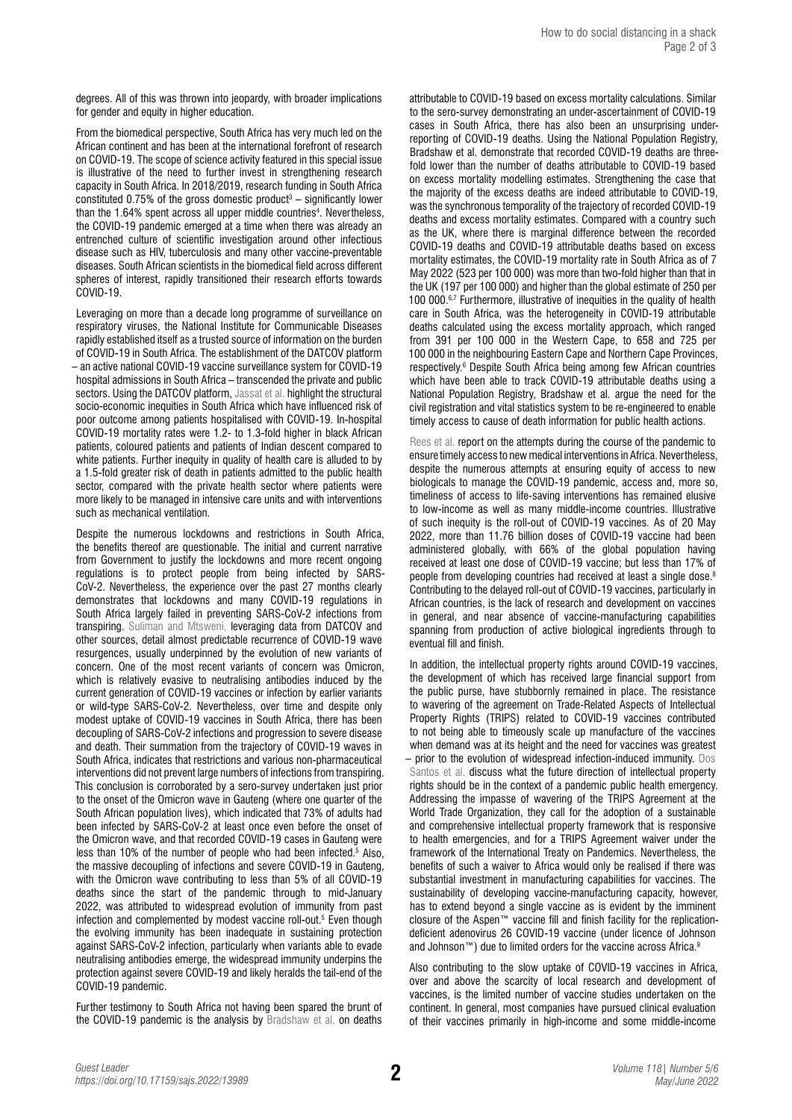degrees. All of this was thrown into jeopardy, with broader implications for gender and equity in higher education.

From the biomedical perspective, South Africa has very much led on the African continent and has been at the international forefront of research on COVID-19. The scope of science activity featured in this special issue is illustrative of the need to further invest in strengthening research capacity in South Africa. In 2018/2019, research funding in South Africa constituted  $0.75\%$  of the gross domestic product<sup>3</sup> – significantly lower than the 1.64% spent across all upper middle countries<sup>4</sup>. Nevertheless, the COVID-19 pandemic emerged at a time when there was already an entrenched culture of scientific investigation around other infectious disease such as HIV, tuberculosis and many other vaccine-preventable diseases. South African scientists in the biomedical field across different spheres of interest, rapidly transitioned their research efforts towards COVID-19.

Leveraging on more than a decade long programme of surveillance on respiratory viruses, the National Institute for Communicable Diseases rapidly established itself as a trusted source of information on the burden of COVID-19 in South Africa. The establishment of the DATCOV platform – an active national COVID-19 vaccine surveillance system for COVID-19 hospital admissions in South Africa – transcended the private and public sectors. Using the DATCOV platform, [Jassat et al.](https://doi.org/10.17159/sajs.2022/13323) highlight the structural socio-economic inequities in South Africa which have influenced risk of poor outcome among patients hospitalised with COVID-19. In-hospital COVID-19 mortality rates were 1.2- to 1.3-fold higher in black African patients, coloured patients and patients of Indian descent compared to white patients. Further inequity in quality of health care is alluded to by a 1.5-fold greater risk of death in patients admitted to the public health sector, compared with the private health sector where patients were more likely to be managed in intensive care units and with interventions such as mechanical ventilation.

Despite the numerous lockdowns and restrictions in South Africa, the benefits thereof are questionable. The initial and current narrative from Government to justify the lockdowns and more recent ongoing regulations is to protect people from being infected by SARS-CoV-2. Nevertheless, the experience over the past 27 months clearly demonstrates that lockdowns and many COVID-19 regulations in South Africa largely failed in preventing SARS-CoV-2 infections from transpiring. [Suliman and Mtsweni](https://doi.org/10.17159/sajs.2022/13874), leveraging data from DATCOV and other sources, detail almost predictable recurrence of COVID-19 wave resurgences, usually underpinned by the evolution of new variants of concern. One of the most recent variants of concern was Omicron, which is relatively evasive to neutralising antibodies induced by the current generation of COVID-19 vaccines or infection by earlier variants or wild-type SARS-CoV-2. Nevertheless, over time and despite only modest uptake of COVID-19 vaccines in South Africa, there has been decoupling of SARS-CoV-2 infections and progression to severe disease and death. Their summation from the trajectory of COVID-19 waves in South Africa, indicates that restrictions and various non-pharmaceutical interventions did not prevent large numbers of infections from transpiring. This conclusion is corroborated by a sero-survey undertaken just prior to the onset of the Omicron wave in Gauteng (where one quarter of the South African population lives), which indicated that 73% of adults had been infected by SARS-CoV-2 at least once even before the onset of the Omicron wave, and that recorded COVID-19 cases in Gauteng were less than 10% of the number of people who had been infected.<sup>5</sup> Also, the massive decoupling of infections and severe COVID-19 in Gauteng, with the Omicron wave contributing to less than 5% of all COVID-19 deaths since the start of the pandemic through to mid-January 2022, was attributed to widespread evolution of immunity from past infection and complemented by modest vaccine roll-out.<sup>5</sup> Even though the evolving immunity has been inadequate in sustaining protection against SARS-CoV-2 infection, particularly when variants able to evade neutralising antibodies emerge, the widespread immunity underpins the protection against severe COVID-19 and likely heralds the tail-end of the COVID-19 pandemic.

Further testimony to South Africa not having been spared the brunt of the COVID-19 pandemic is the analysis by [Bradshaw et al.](https://doi.org/10.17159/sajs.2022/13300) on deaths attributable to COVID-19 based on excess mortality calculations. Similar to the sero-survey demonstrating an under-ascertainment of COVID-19 cases in South Africa, there has also been an unsurprising underreporting of COVID-19 deaths. Using the National Population Registry, Bradshaw et al. demonstrate that recorded COVID-19 deaths are threefold lower than the number of deaths attributable to COVID-19 based on excess mortality modelling estimates. Strengthening the case that the majority of the excess deaths are indeed attributable to COVID-19, was the synchronous temporality of the trajectory of recorded COVID-19 deaths and excess mortality estimates. Compared with a country such as the UK, where there is marginal difference between the recorded COVID-19 deaths and COVID-19 attributable deaths based on excess mortality estimates, the COVID-19 mortality rate in South Africa as of 7 May 2022 (523 per 100 000) was more than two-fold higher than that in the UK (197 per 100 000) and higher than the global estimate of 250 per 100 000.6,7 Furthermore, illustrative of inequities in the quality of health care in South Africa, was the heterogeneity in COVID-19 attributable deaths calculated using the excess mortality approach, which ranged from 391 per 100 000 in the Western Cape, to 658 and 725 per 100 000 in the neighbouring Eastern Cape and Northern Cape Provinces, respectively.<sup>6</sup> Despite South Africa being among few African countries which have been able to track COVID-19 attributable deaths using a National Population Registry, Bradshaw et al. argue the need for the civil registration and vital statistics system to be re-engineered to enable timely access to cause of death information for public health actions.

[Rees et al](https://doi.org/10.17159/sajs.2022/13475). report on the attempts during the course of the pandemic to ensure timely access to new medical interventions in Africa. Nevertheless, despite the numerous attempts at ensuring equity of access to new biologicals to manage the COVID-19 pandemic, access and, more so, timeliness of access to life-saving interventions has remained elusive to low-income as well as many middle-income countries. Illustrative of such inequity is the roll-out of COVID-19 vaccines. As of 20 May 2022, more than 11.76 billion doses of COVID-19 vaccine had been administered globally, with 66% of the global population having received at least one dose of COVID-19 vaccine; but less than 17% of people from developing countries had received at least a single dose.8 Contributing to the delayed roll-out of COVID-19 vaccines, particularly in African countries, is the lack of research and development on vaccines in general, and near absence of vaccine-manufacturing capabilities spanning from production of active biological ingredients through to eventual fill and finish.

In addition, the intellectual property rights around COVID-19 vaccines. the development of which has received large financial support from the public purse, have stubbornly remained in place. The resistance to wavering of the agreement on Trade-Related Aspects of Intellectual Property Rights (TRIPS) related to COVID-19 vaccines contributed to not being able to timeously scale up manufacture of the vaccines when demand was at its height and the need for vaccines was greatest – prior to the evolution of widespread infection-induced immunity. [Dos](https://doi.org/10.17159/sajs.2022/12775) [Santos et al.](https://doi.org/10.17159/sajs.2022/12775) discuss what the future direction of intellectual property rights should be in the context of a pandemic public health emergency. Addressing the impasse of wavering of the TRIPS Agreement at the World Trade Organization, they call for the adoption of a sustainable and comprehensive intellectual property framework that is responsive to health emergencies, and for a TRIPS Agreement waiver under the framework of the International Treaty on Pandemics. Nevertheless, the benefits of such a waiver to Africa would only be realised if there was substantial investment in manufacturing capabilities for vaccines. The sustainability of developing vaccine-manufacturing capacity, however, has to extend beyond a single vaccine as is evident by the imminent closure of the Aspen™ vaccine fill and finish facility for the replicationdeficient adenovirus 26 COVID-19 vaccine (under licence of Johnson and Johnson™) due to limited orders for the vaccine across Africa.9

Also contributing to the slow uptake of COVID-19 vaccines in Africa, over and above the scarcity of local research and development of vaccines, is the limited number of vaccine studies undertaken on the continent. In general, most companies have pursued clinical evaluation of their vaccines primarily in high-income and some middle-income